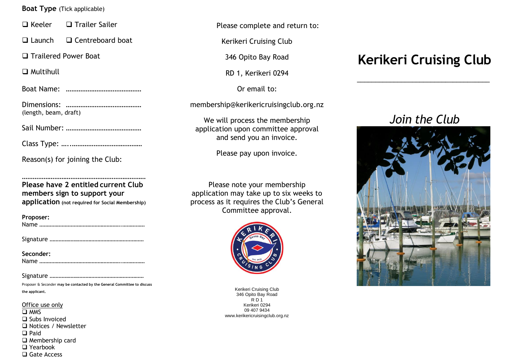### **Boat Type** (Tick applicable)

❑ Keeler ❑ Trailer Sailer

❑ Launch ❑ Centreboard boat

❑ Trailered Power Boat

❑ Multihull

Boat Name: ……………………………………

Dimensions: …………………………………… (length, beam, draft)

Sail Number: ……………………………………

Class Type: …..…………………………………

Reason(s) for joining the Club:

**Please have 2 entitled current Club members sign to support your application (not required for Social Membership)**

……………………………………………………………

| Proposer: |
|-----------|
|           |
|           |

Signature ………………………………………………………

| Seconder: |  |
|-----------|--|
|           |  |

Signature ………………………………………………………

Proposer & Seconder **may be contacted by the General Committee to discuss the applicant.**

Office use only ❑ MMS ❑ Subs Invoiced ❑ Notices / Newsletter ❑ Paid ❑ Membership card ❑ Yearbook ❑ Gate Access

Please complete and return to:

Kerikeri Cruising Club

346 Opito Bay Road

RD 1, Kerikeri 0294

Or email to:

membership@kerikericruisingclub.org.nz

We will process the membership application upon committee approval and send you an invoice.

Please pay upon invoice.

Please note your membership application may take up to six weeks to process as it requires the Club's General Committee approval.



Kerikeri Cruising Club 346 Opito Bay Road R D 1 Kerikeri 0294 09 407 9434 www.kerikericruisingclub.org.nz

# **Kerikeri Cruising Club**

\_\_\_\_\_\_\_\_\_\_\_\_\_\_\_\_\_\_\_\_\_\_\_\_\_\_\_\_\_\_\_\_\_\_\_\_

## *Join the Club*